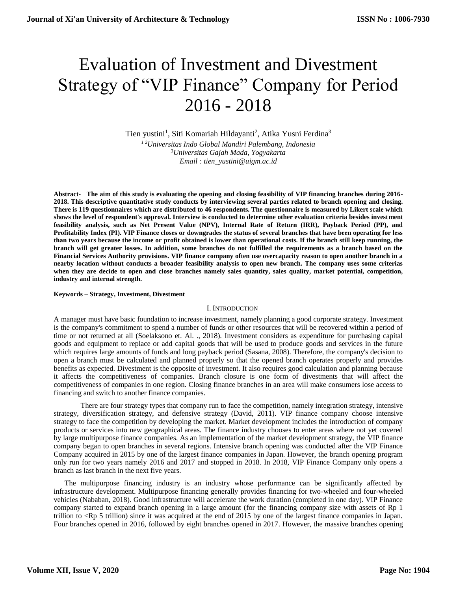# Evaluation of Investment and Divestment Strategy of "VIP Finance" Company for Period 2016 - 2018

Tien yustini<sup>1</sup>, Siti Komariah Hildayanti<sup>2</sup>, Atika Yusni Ferdina<sup>3</sup> *1 2Universitas Indo Global Mandiri Palembang, Indonesia <sup>3</sup>Universitas Gajah Mada, Yogyakarta Email : tien\_yustini@uigm.ac.id*

**Abstract- The aim of this study is evaluating the opening and closing feasibility of VIP financing branches during 2016- 2018. This descriptive quantitative study conducts by interviewing several parties related to branch opening and closing. There is 119 questionnaires which are distributed to 46 respondents. The questionnaire is measured by Likert scale which shows the level of respondent's approval. Interview is conducted to determine other evaluation criteria besides investment feasibility analysis, such as Net Present Value (NPV), Internal Rate of Return (IRR), Payback Period (PP), and Profitability Index (PI). VIP Finance closes or downgrades the status of several branches that have been operating for less than two years because the income or profit obtained is lower than operational costs. If the branch still keep running, the branch will get greater losses. In addition, some branches do not fulfilled the requirements as a branch based on the Financial Services Authority provisions. VIP finance company often use overcapacity reason to open another branch in a nearby location without conducts a broader feasibility analysis to open new branch. The company uses some criterias**  when they are decide to open and close branches namely sales quantity, sales quality, market potential, competition, **industry and internal strength.**

# **Keywords – Strategy, Investment, Divestment**

# I. INTRODUCTION

A manager must have basic foundation to increase investment, namely planning a good corporate strategy. Investment is the company's commitment to spend a number of funds or other resources that will be recovered within a period of time or not returned at all (Soelaksono et. Al. ., 2018). Investment considers as expenditure for purchasing capital goods and equipment to replace or add capital goods that will be used to produce goods and services in the future which requires large amounts of funds and long payback period (Sasana, 2008). Therefore, the company's decision to open a branch must be calculated and planned properly so that the opened branch operates properly and provides benefits as expected. Divestment is the opposite of investment. It also requires good calculation and planning because it affects the competitiveness of companies. Branch closure is one form of divestments that will affect the competitiveness of companies in one region. Closing finance branches in an area will make consumers lose access to financing and switch to another finance companies.

There are four strategy types that company run to face the competition, namely integration strategy, intensive strategy, diversification strategy, and defensive strategy (David, 2011). VIP finance company choose intensive strategy to face the competition by developing the market. Market development includes the introduction of company products or services into new geographical areas. The finance industry chooses to enter areas where not yet covered by large multipurpose finance companies. As an implementation of the market development strategy, the VIP finance company began to open branches in several regions. Intensive branch opening was conducted after the VIP Finance Company acquired in 2015 by one of the largest finance companies in Japan. However, the branch opening program only run for two years namely 2016 and 2017 and stopped in 2018. In 2018, VIP Finance Company only opens a branch as last branch in the next five years.

The multipurpose financing industry is an industry whose performance can be significantly affected by infrastructure development. Multipurpose financing generally provides financing for two-wheeled and four-wheeled vehicles (Nababan, 2018). Good infrastructure will accelerate the work duration (completed in one day). VIP Finance company started to expand branch opening in a large amount (for the financing company size with assets of Rp 1 trillion to <Rp 5 trillion) since it was acquired at the end of 2015 by one of the largest finance companies in Japan. Four branches opened in 2016, followed by eight branches opened in 2017. However, the massive branches opening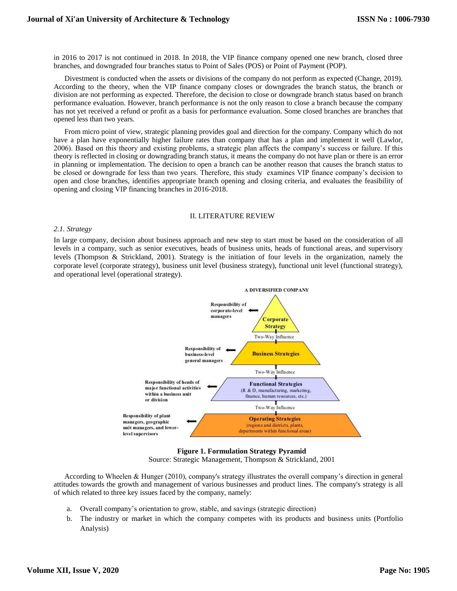in 2016 to 2017 is not continued in 2018. In 2018, the VIP finance company opened one new branch, closed three branches, and downgraded four branches status to Point of Sales (POS) or Point of Payment (POP).

Divestment is conducted when the assets or divisions of the company do not perform as expected (Change, 2019). According to the theory, when the VIP finance company closes or downgrades the branch status, the branch or division are not performing as expected. Therefore, the decision to close or downgrade branch status based on branch performance evaluation. However, branch performance is not the only reason to close a branch because the company has not yet received a refund or profit as a basis for performance evaluation. Some closed branches are branches that opened less than two years.

From micro point of view, strategic planning provides goal and direction for the company. Company which do not have a plan have exponentially higher failure rates than company that has a plan and implement it well (Lawlor, 2006). Based on this theory and existing problems, a strategic plan affects the company's success or failure. If this theory is reflected in closing or downgrading branch status, it means the company do not have plan or there is an error in planning or implementation. The decision to open a branch can be another reason that causes the branch status to be closed or downgrade for less than two years. Therefore, this study examines VIP finance company's decision to open and close branches, identifies appropriate branch opening and closing criteria, and evaluates the feasibility of opening and closing VIP financing branches in 2016-2018.

# II. LITERATURE REVIEW

# *2.1. Strategy*

In large company, decision about business approach and new step to start must be based on the consideration of all levels in a company, such as senior executives, heads of business units, heads of functional areas, and supervisory levels (Thompson & Strickland, 2001). Strategy is the initiation of four levels in the organization, namely the corporate level (corporate strategy), business unit level (business strategy), functional unit level (functional strategy), and operational level (operational strategy).



**Figure 1. Formulation Strategy Pyramid** Source: Strategic Management, Thompson & Strickland, 2001

According to Wheelen & Hunger (2010), company's strategy illustrates the overall company's direction in general attitudes towards the growth and management of various businesses and product lines. The company's strategy is all of which related to three key issues faced by the company, namely:

- a. Overall company's orientation to grow, stable, and savings (strategic direction)
- b. The industry or market in which the company competes with its products and business units (Portfolio Analysis)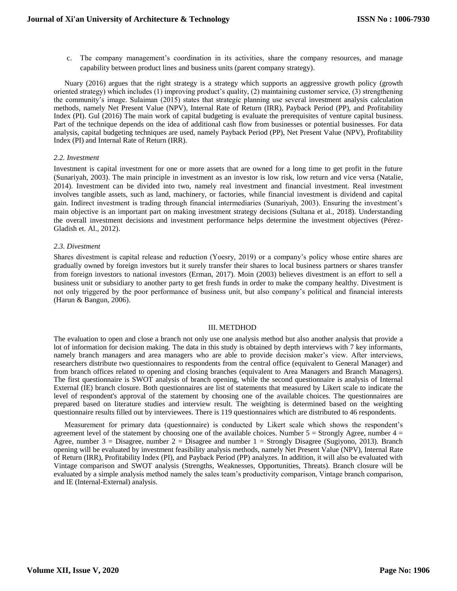c. The company management's coordination in its activities, share the company resources, and manage capability between product lines and business units (parent company strategy).

Nuary (2016) argues that the right strategy is a strategy which supports an aggressive growth policy (growth oriented strategy) which includes (1) improving product's quality, (2) maintaining customer service, (3) strengthening the community's image. Sulaiman (2015) states that strategic planning use several investment analysis calculation methods, namely Net Present Value (NPV), Internal Rate of Return (IRR), Payback Period (PP), and Profitability Index (PI). Gul (2016) The main work of capital budgeting is evaluate the prerequisites of venture capital business. Part of the technique depends on the idea of additional cash flow from businesses or potential businesses. For data analysis, capital budgeting techniques are used, namely Payback Period (PP), Net Present Value (NPV), Profitability Index (PI) and Internal Rate of Return (IRR).

# *2.2. Investment*

Investment is capital investment for one or more assets that are owned for a long time to get profit in the future (Sunariyah, 2003). The main principle in investment as an investor is low risk, low return and vice versa (Natalie, 2014). Investment can be divided into two, namely real investment and financial investment. Real investment involves tangible assets, such as land, machinery, or factories, while financial investment is dividend and capital gain. Indirect investment is trading through financial intermediaries (Sunariyah, 2003). Ensuring the investment's main objective is an important part on making investment strategy decisions (Sultana et al., 2018). Understanding the overall investment decisions and investment performance helps determine the investment objectives (Pérez-Gladish et. Al., 2012).

# *2.3. Divestment*

Shares divestment is capital release and reduction (Yoesry, 2019) or a company's policy whose entire shares are gradually owned by foreign investors but it surely transfer their shares to local business partners or shares transfer from foreign investors to national investors (Erman, 2017). Moin (2003) believes divestment is an effort to sell a business unit or subsidiary to another party to get fresh funds in order to make the company healthy. Divestment is not only triggered by the poor performance of business unit, but also company's political and financial interests (Harun & Bangun, 2006).

#### III. METDHOD

The evaluation to open and close a branch not only use one analysis method but also another analysis that provide a lot of information for decision making. The data in this study is obtained by depth interviews with 7 key informants, namely branch managers and area managers who are able to provide decision maker's view. After interviews, researchers distribute two questionnaires to respondents from the central office (equivalent to General Manager) and from branch offices related to opening and closing branches (equivalent to Area Managers and Branch Managers). The first questionnaire is SWOT analysis of branch opening, while the second questionnaire is analysis of Internal External (IE) branch closure. Both questionnaires are list of statements that measured by Likert scale to indicate the level of respondent's approval of the statement by choosing one of the available choices. The questionnaires are prepared based on literature studies and interview result. The weighting is determined based on the weighting questionnaire results filled out by interviewees. There is 119 questionnaires which are distributed to 46 respondents.

Measurement for primary data (questionnaire) is conducted by Likert scale which shows the respondent's agreement level of the statement by choosing one of the available choices. Number  $5 =$  Strongly Agree, number  $4 =$ Agree, number 3 = Disagree, number 2 = Disagree and number 1 = Strongly Disagree (Sugiyono, 2013). Branch opening will be evaluated by investment feasibility analysis methods, namely Net Present Value (NPV), Internal Rate of Return (IRR), Profitability Index (PI), and Payback Period (PP) analyzes. In addition, it will also be evaluated with Vintage comparison and SWOT analysis (Strengths, Weaknesses, Opportunities, Threats). Branch closure will be evaluated by a simple analysis method namely the sales team's productivity comparison, Vintage branch comparison, and IE (Internal-External) analysis.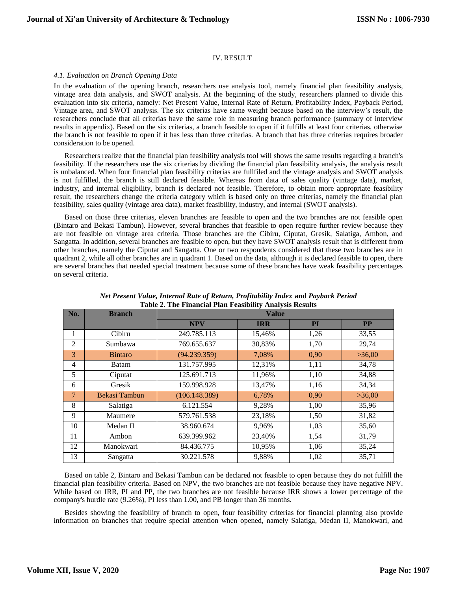# IV. RESULT

#### *4.1. Evaluation on Branch Opening Data*

In the evaluation of the opening branch, researchers use analysis tool, namely financial plan feasibility analysis, vintage area data analysis, and SWOT analysis. At the beginning of the study, researchers planned to divide this evaluation into six criteria, namely: Net Present Value, Internal Rate of Return, Profitability Index, Payback Period, Vintage area, and SWOT analysis. The six criterias have same weight because based on the interview's result, the researchers conclude that all criterias have the same role in measuring branch performance (summary of interview results in appendix). Based on the six criterias, a branch feasible to open if it fulfills at least four criterias, otherwise the branch is not feasible to open if it has less than three criterias. A branch that has three criterias requires broader consideration to be opened.

Researchers realize that the financial plan feasibility analysis tool will shows the same results regarding a branch's feasibility. If the researchers use the six criterias by dividing the financial plan feasibility analysis, the analysis result is unbalanced. When four financial plan feasibility criterias are fullfiled and the vintage analysis and SWOT analysis is not fulfilled, the branch is still declared feasible. Whereas from data of sales quality (vintage data), market, industry, and internal eligibility, branch is declared not feasible. Therefore, to obtain more appropriate feasibility result, the researchers change the criteria category which is based only on three criterias, namely the financial plan feasibility, sales quality (vintage area data), market feasibility, industry, and internal (SWOT analysis).

Based on those three criterias, eleven branches are feasible to open and the two branches are not feasible open (Bintaro and Bekasi Tambun). However, several branches that feasible to open require further review because they are not feasible on vintage area criteria. Those branches are the Cibiru, Ciputat, Gresik, Salatiga, Ambon, and Sangatta. In addition, several branches are feasible to open, but they have SWOT analysis result that is different from other branches, namely the Ciputat and Sangatta. One or two respondents considered that these two branches are in quadrant 2, while all other branches are in quadrant 1. Based on the data, although it is declared feasible to open, there are several branches that needed special treatment because some of these branches have weak feasibility percentages on several criteria.

| Table 2. The Financial Fian Feasibility Analysis Results<br>No.<br><b>Branch</b><br><b>Value</b> |                |               |            |           |           |
|--------------------------------------------------------------------------------------------------|----------------|---------------|------------|-----------|-----------|
|                                                                                                  |                | <b>NPV</b>    | <b>IRR</b> | <b>PI</b> | <b>PP</b> |
| 1                                                                                                | Cibiru         | 249.785.113   | 15,46%     | 1,26      | 33,55     |
| 2                                                                                                | Sumbawa        | 769.655.637   | 30,83%     | 1,70      | 29,74     |
| 3                                                                                                | <b>Bintaro</b> | (94.239.359)  | 7,08%      | 0,90      | >36,00    |
| $\overline{4}$                                                                                   | Batam          | 131.757.995   | 12,31%     | 1,11      | 34,78     |
| 5                                                                                                | Ciputat        | 125.691.713   | 11,96%     | 1,10      | 34,88     |
| 6                                                                                                | Gresik         | 159.998.928   | 13,47%     | 1,16      | 34,34     |
| $\tau$                                                                                           | Bekasi Tambun  | (106.148.389) | 6,78%      | 0,90      | >36,00    |
| 8                                                                                                | Salatiga       | 6.121.554     | 9,28%      | 1,00      | 35,96     |
| 9                                                                                                | Maumere        | 579.761.538   | 23,18%     | 1,50      | 31,82     |
| 10                                                                                               | Medan II       | 38.960.674    | 9,96%      | 1,03      | 35,60     |
| 11                                                                                               | Ambon          | 639.399.962   | 23,40%     | 1,54      | 31,79     |
| 12                                                                                               | Manokwari      | 84.436.775    | 10,95%     | 1,06      | 35,24     |
| 13                                                                                               | Sangatta       | 30.221.578    | 9,88%      | 1,02      | 35,71     |

|  | Net Present Value, Internal Rate of Return, Profitability Index and Payback Period |  |  |  |
|--|------------------------------------------------------------------------------------|--|--|--|
|  | Table 2. The Financial Plan Feasibility Analysis Results                           |  |  |  |

Based on table 2, Bintaro and Bekasi Tambun can be declared not feasible to open because they do not fulfill the financial plan feasibility criteria. Based on NPV, the two branches are not feasible because they have negative NPV. While based on IRR, PI and PP, the two branches are not feasible because IRR shows a lower percentage of the company's hurdle rate (9.26%), PI less than 1.00, and PB longer than 36 months.

Besides showing the feasibility of branch to open, four feasibility criterias for financial planning also provide information on branches that require special attention when opened, namely Salatiga, Medan II, Manokwari, and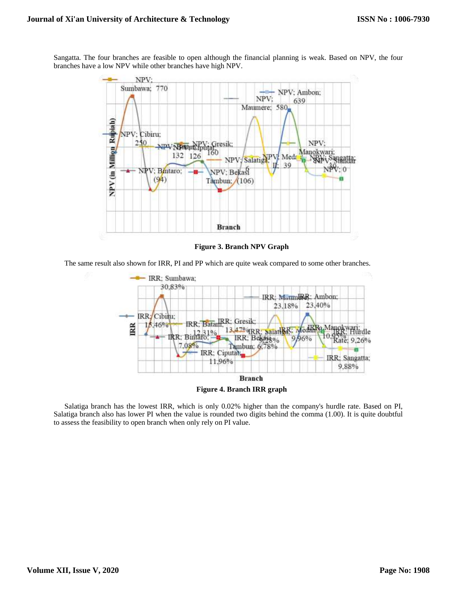Sangatta. The four branches are feasible to open although the financial planning is weak. Based on NPV, the four branches have a low NPV while other branches have high NPV.



**Figure 3. Branch NPV Graph**

The same result also shown for IRR, PI and PP which are quite weak compared to some other branches.



**Figure 4. Branch IRR graph**

Salatiga branch has the lowest IRR, which is only 0.02% higher than the company's hurdle rate. Based on PI, Salatiga branch also has lower PI when the value is rounded two digits behind the comma (1.00). It is quite doubtful to assess the feasibility to open branch when only rely on PI value.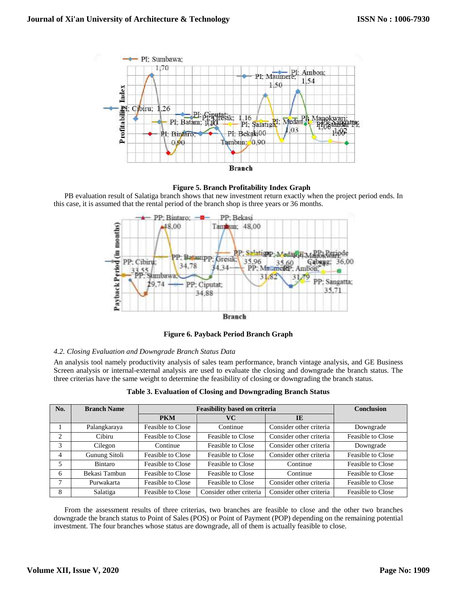



PB evaluation result of Salatiga branch shows that new investment return exactly when the project period ends. In this case, it is assumed that the rental period of the branch shop is three years or 36 months.



**Figure 6. Payback Period Branch Graph**

# *4.2. Closing Evaluation and Downgrade Branch Status Data*

An analysis tool namely productivity analysis of sales team performance, branch vintage analysis, and GE Business Screen analysis or internal-external analysis are used to evaluate the closing and downgrade the branch status. The three criterias have the same weight to determine the feasibility of closing or downgrading the branch status.

| Table 3. Evaluation of Closing and Downgrading Branch Status |
|--------------------------------------------------------------|
|--------------------------------------------------------------|

| No. | <b>Branch Name</b> | <b>Feasibility based on criteria</b> |                         |                         | <b>Conclusion</b> |
|-----|--------------------|--------------------------------------|-------------------------|-------------------------|-------------------|
|     |                    | <b>PKM</b>                           | VС                      | IE                      |                   |
|     | Palangkaraya       | Feasible to Close                    | Continue                | Consider other criteria | Downgrade         |
| 2   | Cibiru             | Feasible to Close                    | Feasible to Close       | Consider other criteria | Feasible to Close |
| 3   | Cilegon            | Continue                             | Feasible to Close       | Consider other criteria | Downgrade         |
| 4   | Gunung Sitoli      | Feasible to Close                    | Feasible to Close       | Consider other criteria | Feasible to Close |
| 5   | Bintaro            | Feasible to Close                    | Feasible to Close       | Continue                | Feasible to Close |
| 6   | Bekasi Tambun      | Feasible to Close                    | Feasible to Close       | Continue                | Feasible to Close |
| 7   | Purwakarta         | Feasible to Close                    | Feasible to Close       | Consider other criteria | Feasible to Close |
| 8   | Salatiga           | Feasible to Close                    | Consider other criteria | Consider other criteria | Feasible to Close |

From the assessment results of three criterias, two branches are feasible to close and the other two branches downgrade the branch status to Point of Sales (POS) or Point of Payment (POP) depending on the remaining potential investment. The four branches whose status are downgrade, all of them is actually feasible to close.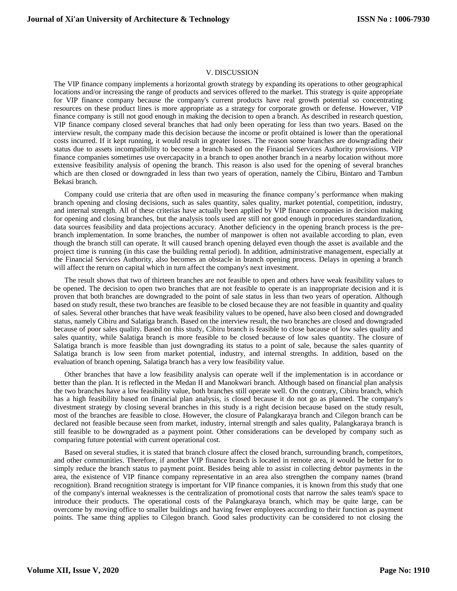#### V. DISCUSSION

The VIP finance company implements a horizontal growth strategy by expanding its operations to other geographical locations and/or increasing the range of products and services offered to the market. This strategy is quite appropriate for VIP finance company because the company's current products have real growth potential so concentrating resources on these product lines is more appropriate as a strategy for corporate growth or defense. However, VIP finance company is still not good enough in making the decision to open a branch. As described in research question, VIP finance company closed several branches that had only been operating for less than two years. Based on the interview result, the company made this decision because the income or profit obtained is lower than the operational costs incurred. If it kept running, it would result in greater losses. The reason some branches are downgrading their status due to assets incompatibility to become a branch based on the Financial Services Authority provisions. VIP finance companies sometimes use overcapacity in a branch to open another branch in a nearby location without more extensive feasibility analysis of opening the branch. This reason is also used for the opening of several branches which are then closed or downgraded in less than two years of operation, namely the Cibiru, Bintaro and Tambun Bekasi branch.

Company could use criteria that are often used in measuring the finance company's performance when making branch opening and closing decisions, such as sales quantity, sales quality, market potential, competition, industry, and internal strength. All of these criterias have actually been applied by VIP finance companies in decision making for opening and closing branches, but the analysis tools used are still not good enough in procedures standardization, data sources feasibility and data projections accuracy. Another deficiency in the opening branch process is the prebranch implementation. In some branches, the number of manpower is often not available according to plan, even though the branch still can operate. It will caused branch opening delayed even though the asset is available and the project time is running (in this case the building rental period). In addition, administrative management, especially at the Financial Services Authority, also becomes an obstacle in branch opening process. Delays in opening a branch will affect the return on capital which in turn affect the company's next investment.

The result shows that two of thirteen branches are not feasible to open and others have weak feasibility values to be opened. The decision to open two branches that are not feasible to operate is an inappropriate decision and it is proven that both branches are downgraded to the point of sale status in less than two years of operation. Although based on study result, these two branches are feasible to be closed because they are not feasible in quantity and quality of sales. Several other branches that have weak feasibility values to be opened, have also been closed and downgraded status, namely Cibiru and Salatiga branch. Based on the interview result, the two branches are closed and downgraded because of poor sales quality. Based on this study, Cibiru branch is feasible to close bacause of low sales quality and sales quantity, while Salatiga branch is more feasible to be closed because of low sales quantity. The closure of Salatiga branch is more feasible than just downgrading its status to a point of sale, because the sales quantity of Salatiga branch is low seen from market potential, industry, and internal strengths. In addition, based on the evaluation of branch opening, Salatiga branch has a very low feasibility value.

Other branches that have a low feasibility analysis can operate well if the implementation is in accordance or better than the plan. It is reflected in the Medan II and Manokwari branch. Although based on financial plan analysis the two branches have a low feasibility value, both branches still operate well. On the contrary, Cibiru branch, which has a high feasibility based on financial plan analysis, is closed because it do not go as planned. The company's divestment strategy by closing several branches in this study is a right decision because based on the study result, most of the branches are feasible to close. However, the closure of Palangkaraya branch and Cilegon branch can be declared not feasible because seen from market, industry, internal strength and sales quality, Palangkaraya branch is still feasible to be downgraded as a payment point. Other considerations can be developed by company such as comparing future potential with current operational cost.

Based on several studies, it is stated that branch closure affect the closed branch, surrounding branch, competitors, and other communities. Therefore, if another VIP finance branch is located in remote area, it would be better for to simply reduce the branch status to payment point. Besides being able to assist in collecting debtor payments in the area, the existence of VIP finance company representative in an area also strengthen the company names (brand recognition). Brand recognition strategy is important for VIP finance companies, it is known from this study that one of the company's internal weaknesses is the centralization of promotional costs that narrow the sales team's space to introduce their products. The operational costs of the Palangkaraya branch, which may be quite large, can be overcome by moving office to smaller buildings and having fewer employees according to their function as payment points. The same thing applies to Cilegon branch. Good sales productivity can be considered to not closing the